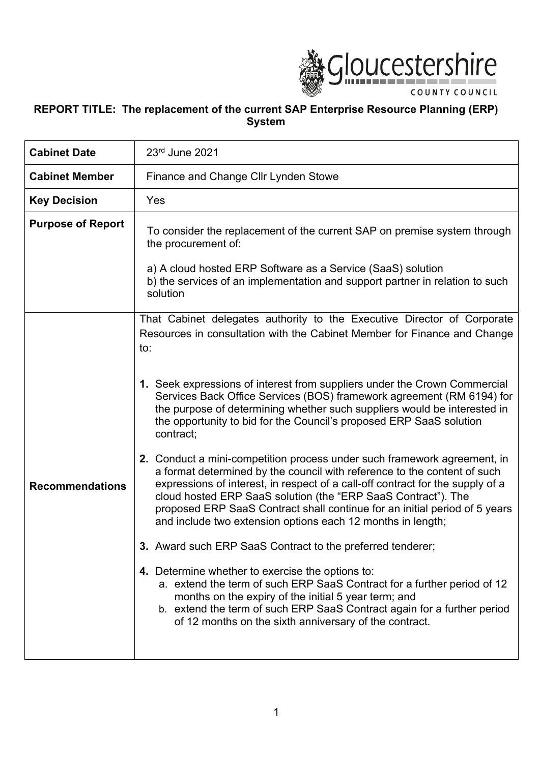

# **REPORT TITLE: The replacement of the current SAP Enterprise Resource Planning (ERP) System**

| <b>Cabinet Date</b>      | 23rd June 2021                                                                                                                                                                                                                                                                                                                                                                                                                                       |
|--------------------------|------------------------------------------------------------------------------------------------------------------------------------------------------------------------------------------------------------------------------------------------------------------------------------------------------------------------------------------------------------------------------------------------------------------------------------------------------|
| <b>Cabinet Member</b>    | Finance and Change Cllr Lynden Stowe                                                                                                                                                                                                                                                                                                                                                                                                                 |
| <b>Key Decision</b>      | Yes                                                                                                                                                                                                                                                                                                                                                                                                                                                  |
| <b>Purpose of Report</b> | To consider the replacement of the current SAP on premise system through<br>the procurement of:                                                                                                                                                                                                                                                                                                                                                      |
|                          | a) A cloud hosted ERP Software as a Service (SaaS) solution<br>b) the services of an implementation and support partner in relation to such<br>solution                                                                                                                                                                                                                                                                                              |
|                          | That Cabinet delegates authority to the Executive Director of Corporate<br>Resources in consultation with the Cabinet Member for Finance and Change<br>to:                                                                                                                                                                                                                                                                                           |
|                          | 1. Seek expressions of interest from suppliers under the Crown Commercial<br>Services Back Office Services (BOS) framework agreement (RM 6194) for<br>the purpose of determining whether such suppliers would be interested in<br>the opportunity to bid for the Council's proposed ERP SaaS solution<br>contract;                                                                                                                                   |
| <b>Recommendations</b>   | 2. Conduct a mini-competition process under such framework agreement, in<br>a format determined by the council with reference to the content of such<br>expressions of interest, in respect of a call-off contract for the supply of a<br>cloud hosted ERP SaaS solution (the "ERP SaaS Contract"). The<br>proposed ERP SaaS Contract shall continue for an initial period of 5 years<br>and include two extension options each 12 months in length; |
|                          | 3. Award such ERP SaaS Contract to the preferred tenderer;                                                                                                                                                                                                                                                                                                                                                                                           |
|                          | 4. Determine whether to exercise the options to:<br>a. extend the term of such ERP SaaS Contract for a further period of 12<br>months on the expiry of the initial 5 year term; and<br>b. extend the term of such ERP SaaS Contract again for a further period<br>of 12 months on the sixth anniversary of the contract.                                                                                                                             |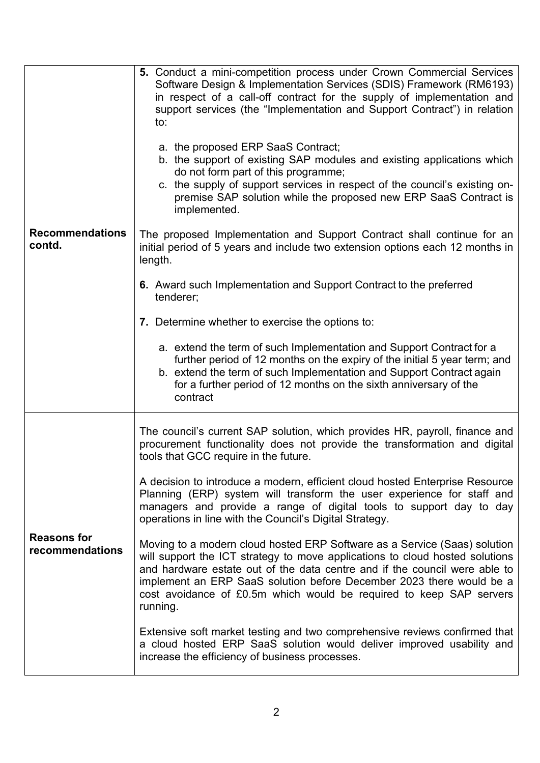| <b>Recommendations</b><br>contd.      | 5. Conduct a mini-competition process under Crown Commercial Services<br>Software Design & Implementation Services (SDIS) Framework (RM6193)<br>in respect of a call-off contract for the supply of implementation and<br>support services (the "Implementation and Support Contract") in relation<br>to:<br>a. the proposed ERP SaaS Contract;<br>b. the support of existing SAP modules and existing applications which<br>do not form part of this programme;<br>c. the supply of support services in respect of the council's existing on-<br>premise SAP solution while the proposed new ERP SaaS Contract is<br>implemented.<br>The proposed Implementation and Support Contract shall continue for an<br>initial period of 5 years and include two extension options each 12 months in<br>length.<br>6. Award such Implementation and Support Contract to the preferred<br>tenderer;<br>7. Determine whether to exercise the options to:<br>a. extend the term of such Implementation and Support Contract for a<br>further period of 12 months on the expiry of the initial 5 year term; and<br>b. extend the term of such Implementation and Support Contract again<br>for a further period of 12 months on the sixth anniversary of the<br>contract |
|---------------------------------------|---------------------------------------------------------------------------------------------------------------------------------------------------------------------------------------------------------------------------------------------------------------------------------------------------------------------------------------------------------------------------------------------------------------------------------------------------------------------------------------------------------------------------------------------------------------------------------------------------------------------------------------------------------------------------------------------------------------------------------------------------------------------------------------------------------------------------------------------------------------------------------------------------------------------------------------------------------------------------------------------------------------------------------------------------------------------------------------------------------------------------------------------------------------------------------------------------------------------------------------------------------------|
| <b>Reasons for</b><br>recommendations | The council's current SAP solution, which provides HR, payroll, finance and<br>procurement functionality does not provide the transformation and digital<br>tools that GCC require in the future.<br>A decision to introduce a modern, efficient cloud hosted Enterprise Resource<br>Planning (ERP) system will transform the user experience for staff and<br>managers and provide a range of digital tools to support day to day<br>operations in line with the Council's Digital Strategy.<br>Moving to a modern cloud hosted ERP Software as a Service (Saas) solution<br>will support the ICT strategy to move applications to cloud hosted solutions<br>and hardware estate out of the data centre and if the council were able to<br>implement an ERP SaaS solution before December 2023 there would be a<br>cost avoidance of £0.5m which would be required to keep SAP servers<br>running.<br>Extensive soft market testing and two comprehensive reviews confirmed that<br>a cloud hosted ERP SaaS solution would deliver improved usability and<br>increase the efficiency of business processes.                                                                                                                                                  |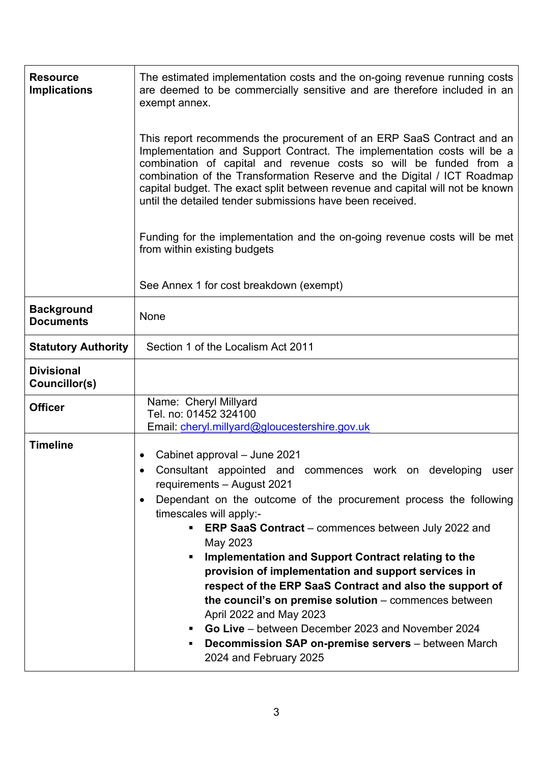| <b>Resource</b><br><b>Implications</b> | The estimated implementation costs and the on-going revenue running costs<br>are deemed to be commercially sensitive and are therefore included in an<br>exempt annex.<br>This report recommends the procurement of an ERP SaaS Contract and an                                                                                                                                                                                                                                                                                                                                                                                                                                                                |
|----------------------------------------|----------------------------------------------------------------------------------------------------------------------------------------------------------------------------------------------------------------------------------------------------------------------------------------------------------------------------------------------------------------------------------------------------------------------------------------------------------------------------------------------------------------------------------------------------------------------------------------------------------------------------------------------------------------------------------------------------------------|
|                                        | Implementation and Support Contract. The implementation costs will be a<br>combination of capital and revenue costs so will be funded from a<br>combination of the Transformation Reserve and the Digital / ICT Roadmap<br>capital budget. The exact split between revenue and capital will not be known<br>until the detailed tender submissions have been received.                                                                                                                                                                                                                                                                                                                                          |
|                                        | Funding for the implementation and the on-going revenue costs will be met<br>from within existing budgets                                                                                                                                                                                                                                                                                                                                                                                                                                                                                                                                                                                                      |
|                                        | See Annex 1 for cost breakdown (exempt)                                                                                                                                                                                                                                                                                                                                                                                                                                                                                                                                                                                                                                                                        |
| <b>Background</b><br><b>Documents</b>  | None                                                                                                                                                                                                                                                                                                                                                                                                                                                                                                                                                                                                                                                                                                           |
| <b>Statutory Authority</b>             | Section 1 of the Localism Act 2011                                                                                                                                                                                                                                                                                                                                                                                                                                                                                                                                                                                                                                                                             |
| <b>Divisional</b><br>Councillor(s)     |                                                                                                                                                                                                                                                                                                                                                                                                                                                                                                                                                                                                                                                                                                                |
| <b>Officer</b>                         | Name: Cheryl Millyard<br>Tel. no: 01452 324100<br>Email: cheryl.millyard@gloucestershire.gov.uk                                                                                                                                                                                                                                                                                                                                                                                                                                                                                                                                                                                                                |
| <b>Timeline</b>                        | Cabinet approval - June 2021<br>Consultant appointed and commences work on developing user<br>requirements - August 2021<br>Dependant on the outcome of the procurement process the following<br>timescales will apply:-<br><b>ERP SaaS Contract</b> – commences between July 2022 and<br>Ξ.<br>May 2023<br>Implementation and Support Contract relating to the<br>provision of implementation and support services in<br>respect of the ERP SaaS Contract and also the support of<br>the council's on premise solution - commences between<br>April 2022 and May 2023<br>• Go Live – between December 2023 and November 2024<br>Decommission SAP on-premise servers - between March<br>2024 and February 2025 |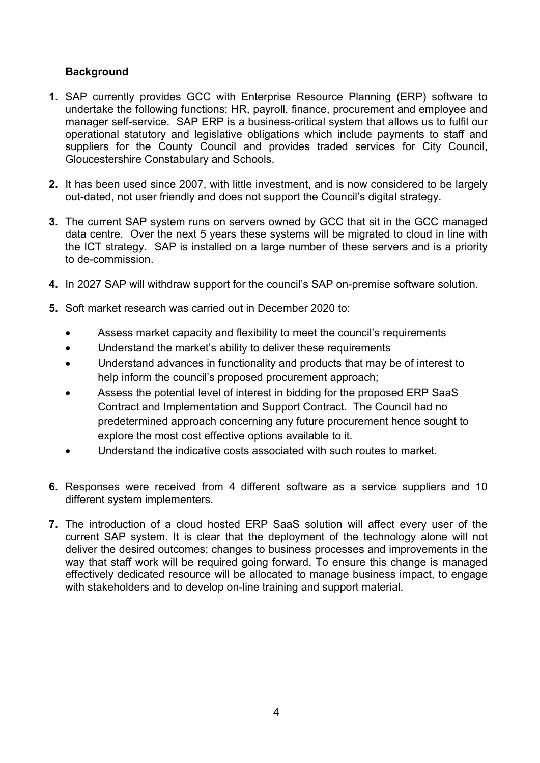# **Background**

- **1.** SAP currently provides GCC with Enterprise Resource Planning (ERP) software to undertake the following functions; HR, payroll, finance, procurement and employee and manager self-service. SAP ERP is a business-critical system that allows us to fulfil our operational statutory and legislative obligations which include payments to staff and suppliers for the County Council and provides traded services for City Council, Gloucestershire Constabulary and Schools.
- **2.** It has been used since 2007, with little investment, and is now considered to be largely out-dated, not user friendly and does not support the Council's digital strategy.
- **3.** The current SAP system runs on servers owned by GCC that sit in the GCC managed data centre. Over the next 5 years these systems will be migrated to cloud in line with the ICT strategy. SAP is installed on a large number of these servers and is a priority to de-commission.
- **4.** In 2027 SAP will withdraw support for the council's SAP on-premise software solution.
- **5.** Soft market research was carried out in December 2020 to:
	- Assess market capacity and flexibility to meet the council's requirements
	- Understand the market's ability to deliver these requirements
	- Understand advances in functionality and products that may be of interest to help inform the council's proposed procurement approach;
	- Assess the potential level of interest in bidding for the proposed ERP SaaS Contract and Implementation and Support Contract. The Council had no predetermined approach concerning any future procurement hence sought to explore the most cost effective options available to it.
	- Understand the indicative costs associated with such routes to market.
- **6.** Responses were received from 4 different software as a service suppliers and 10 different system implementers.
- **7.** The introduction of a cloud hosted ERP SaaS solution will affect every user of the current SAP system. It is clear that the deployment of the technology alone will not deliver the desired outcomes; changes to business processes and improvements in the way that staff work will be required going forward. To ensure this change is managed effectively dedicated resource will be allocated to manage business impact, to engage with stakeholders and to develop on-line training and support material.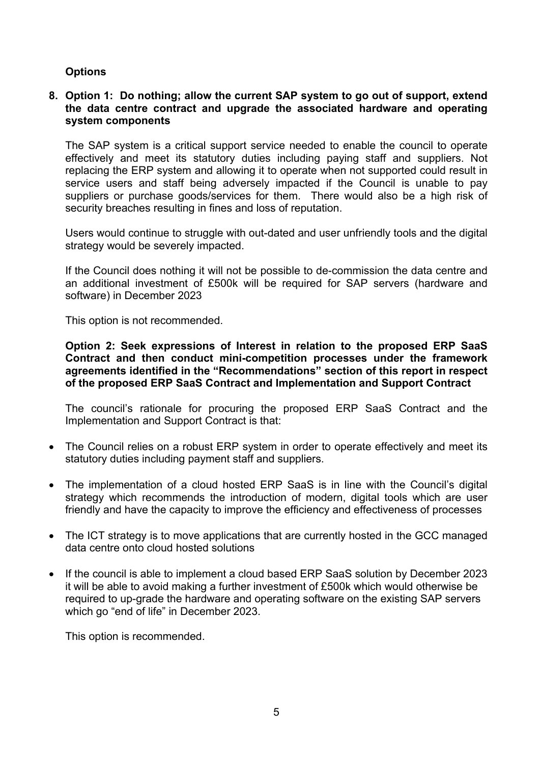## **Options**

### **8. Option 1: Do nothing; allow the current SAP system to go out of support, extend the data centre contract and upgrade the associated hardware and operating system components**

The SAP system is a critical support service needed to enable the council to operate effectively and meet its statutory duties including paying staff and suppliers. Not replacing the ERP system and allowing it to operate when not supported could result in service users and staff being adversely impacted if the Council is unable to pay suppliers or purchase goods/services for them. There would also be a high risk of security breaches resulting in fines and loss of reputation.

Users would continue to struggle with out-dated and user unfriendly tools and the digital strategy would be severely impacted.

If the Council does nothing it will not be possible to de-commission the data centre and an additional investment of £500k will be required for SAP servers (hardware and software) in December 2023

This option is not recommended.

**Option 2: Seek expressions of Interest in relation to the proposed ERP SaaS Contract and then conduct mini-competition processes under the framework agreements identified in the "Recommendations" section of this report in respect of the proposed ERP SaaS Contract and Implementation and Support Contract**

The council's rationale for procuring the proposed ERP SaaS Contract and the Implementation and Support Contract is that:

- The Council relies on a robust ERP system in order to operate effectively and meet its statutory duties including payment staff and suppliers.
- The implementation of a cloud hosted ERP SaaS is in line with the Council's digital strategy which recommends the introduction of modern, digital tools which are user friendly and have the capacity to improve the efficiency and effectiveness of processes
- The ICT strategy is to move applications that are currently hosted in the GCC managed data centre onto cloud hosted solutions
- If the council is able to implement a cloud based ERP SaaS solution by December 2023 it will be able to avoid making a further investment of £500k which would otherwise be required to up-grade the hardware and operating software on the existing SAP servers which go "end of life" in December 2023.

This option is recommended.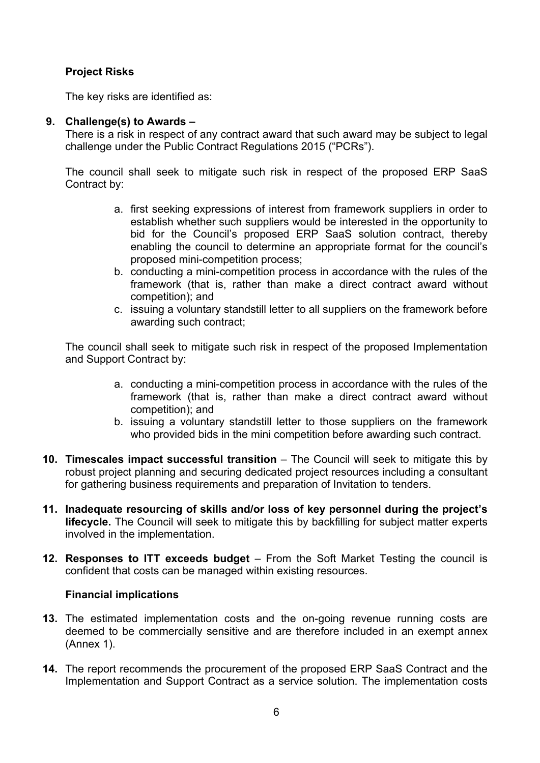# **Project Risks**

The key risks are identified as:

### **9. Challenge(s) to Awards –**

There is a risk in respect of any contract award that such award may be subject to legal challenge under the Public Contract Regulations 2015 ("PCRs").

The council shall seek to mitigate such risk in respect of the proposed ERP SaaS Contract by:

- a. first seeking expressions of interest from framework suppliers in order to establish whether such suppliers would be interested in the opportunity to bid for the Council's proposed ERP SaaS solution contract, thereby enabling the council to determine an appropriate format for the council's proposed mini-competition process;
- b. conducting a mini-competition process in accordance with the rules of the framework (that is, rather than make a direct contract award without competition); and
- c. issuing a voluntary standstill letter to all suppliers on the framework before awarding such contract;

The council shall seek to mitigate such risk in respect of the proposed Implementation and Support Contract by:

- a. conducting a mini-competition process in accordance with the rules of the framework (that is, rather than make a direct contract award without competition); and
- b. issuing a voluntary standstill letter to those suppliers on the framework who provided bids in the mini competition before awarding such contract.
- **10. Timescales impact successful transition** *–* The Council will seek to mitigate this by robust project planning and securing dedicated project resources including a consultant for gathering business requirements and preparation of Invitation to tenders.
- **11. Inadequate resourcing of skills and/or loss of key personnel during the project's lifecycle.** The Council will seek to mitigate this by backfilling for subject matter experts involved in the implementation.
- **12. Responses to ITT exceeds budget** From the Soft Market Testing the council is confident that costs can be managed within existing resources.

## **Financial implications**

- **13.** The estimated implementation costs and the on-going revenue running costs are deemed to be commercially sensitive and are therefore included in an exempt annex (Annex 1).
- **14.** The report recommends the procurement of the proposed ERP SaaS Contract and the Implementation and Support Contract as a service solution. The implementation costs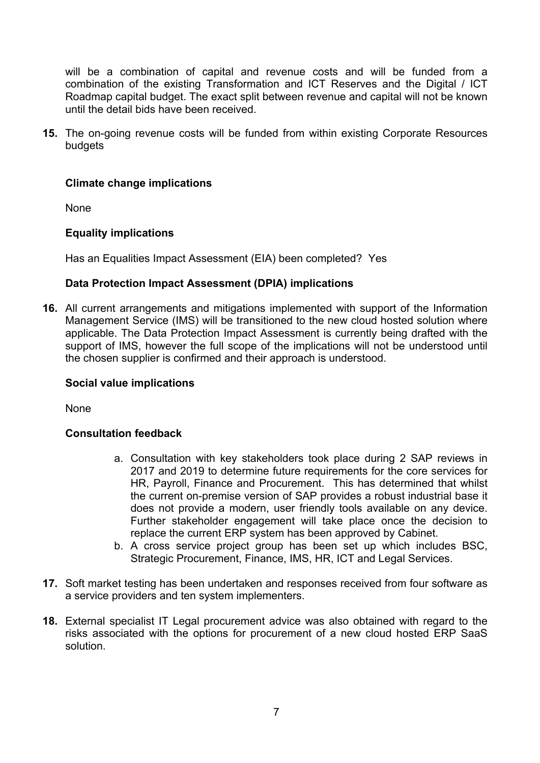will be a combination of capital and revenue costs and will be funded from a combination of the existing Transformation and ICT Reserves and the Digital / ICT Roadmap capital budget. The exact split between revenue and capital will not be known until the detail bids have been received.

**15.** The on-going revenue costs will be funded from within existing Corporate Resources budgets

### **Climate change implications**

None

### **Equality implications**

Has an Equalities Impact Assessment (EIA) been completed? Yes

### **Data Protection Impact Assessment (DPIA) implications**

**16.** All current arrangements and mitigations implemented with support of the Information Management Service (IMS) will be transitioned to the new cloud hosted solution where applicable. The Data Protection Impact Assessment is currently being drafted with the support of IMS, however the full scope of the implications will not be understood until the chosen supplier is confirmed and their approach is understood.

#### **Social value implications**

**None** 

#### **Consultation feedback**

- a. Consultation with key stakeholders took place during 2 SAP reviews in 2017 and 2019 to determine future requirements for the core services for HR, Payroll, Finance and Procurement. This has determined that whilst the current on-premise version of SAP provides a robust industrial base it does not provide a modern, user friendly tools available on any device. Further stakeholder engagement will take place once the decision to replace the current ERP system has been approved by Cabinet.
- b. A cross service project group has been set up which includes BSC, Strategic Procurement, Finance, IMS, HR, ICT and Legal Services.
- **17.** Soft market testing has been undertaken and responses received from four software as a service providers and ten system implementers.
- **18.** External specialist IT Legal procurement advice was also obtained with regard to the risks associated with the options for procurement of a new cloud hosted ERP SaaS solution.